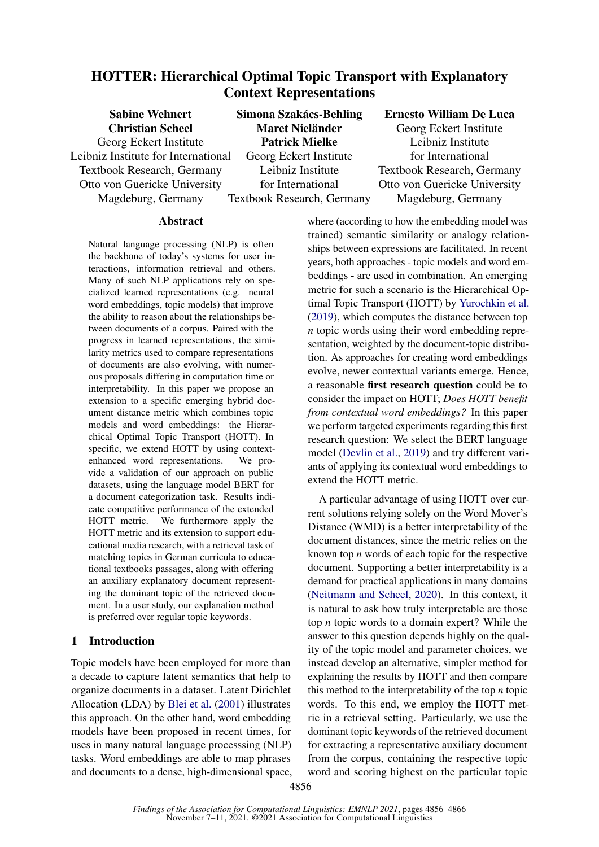# HOTTER: Hierarchical Optimal Topic Transport with Explanatory Context Representations

Sabine Wehnert Christian Scheel Georg Eckert Institute Leibniz Institute for International Textbook Research, Germany Otto von Guericke University Magdeburg, Germany Simona Szakács-Behling Maret Nieländer Patrick Mielke Georg Eckert Institute Leibniz Institute for International Textbook Research, Germany Ernesto William De Luca Georg Eckert Institute Leibniz Institute for International Textbook Research, Germany Otto von Guericke University Magdeburg, Germany

### Abstract

Natural language processing (NLP) is often the backbone of today's systems for user interactions, information retrieval and others. Many of such NLP applications rely on specialized learned representations (e.g. neural word embeddings, topic models) that improve the ability to reason about the relationships between documents of a corpus. Paired with the progress in learned representations, the similarity metrics used to compare representations of documents are also evolving, with numerous proposals differing in computation time or interpretability. In this paper we propose an extension to a specific emerging hybrid document distance metric which combines topic models and word embeddings: the Hierarchical Optimal Topic Transport (HOTT). In specific, we extend HOTT by using contextenhanced word representations. We provide a validation of our approach on public datasets, using the language model BERT for a document categorization task. Results indicate competitive performance of the extended HOTT metric. We furthermore apply the HOTT metric and its extension to support educational media research, with a retrieval task of matching topics in German curricula to educational textbooks passages, along with offering an auxiliary explanatory document representing the dominant topic of the retrieved document. In a user study, our explanation method is preferred over regular topic keywords.

# 1 Introduction

Topic models have been employed for more than a decade to capture latent semantics that help to organize documents in a dataset. Latent Dirichlet Allocation (LDA) by [Blei et al.](#page-9-0) [\(2001\)](#page-9-0) illustrates this approach. On the other hand, word embedding models have been proposed in recent times, for uses in many natural language processsing (NLP) tasks. Word embeddings are able to map phrases and documents to a dense, high-dimensional space, where (according to how the embedding model was trained) semantic similarity or analogy relationships between expressions are facilitated. In recent years, both approaches - topic models and word embeddings - are used in combination. An emerging metric for such a scenario is the Hierarchical Optimal Topic Transport (HOTT) by [Yurochkin et al.](#page-10-0) [\(2019\)](#page-10-0), which computes the distance between top *n* topic words using their word embedding representation, weighted by the document-topic distribution. As approaches for creating word embeddings evolve, newer contextual variants emerge. Hence, a reasonable first research question could be to consider the impact on HOTT; *Does HOTT benefit from contextual word embeddings?* In this paper we perform targeted experiments regarding this first research question: We select the BERT language model [\(Devlin et al.,](#page-9-1) [2019\)](#page-9-1) and try different variants of applying its contextual word embeddings to extend the HOTT metric.

A particular advantage of using HOTT over current solutions relying solely on the Word Mover's Distance (WMD) is a better interpretability of the document distances, since the metric relies on the known top *n* words of each topic for the respective document. Supporting a better interpretability is a demand for practical applications in many domains [\(Neitmann and Scheel,](#page-9-2) [2020\)](#page-9-2). In this context, it is natural to ask how truly interpretable are those top *n* topic words to a domain expert? While the answer to this question depends highly on the quality of the topic model and parameter choices, we instead develop an alternative, simpler method for explaining the results by HOTT and then compare this method to the interpretability of the top *n* topic words. To this end, we employ the HOTT metric in a retrieval setting. Particularly, we use the dominant topic keywords of the retrieved document for extracting a representative auxiliary document from the corpus, containing the respective topic word and scoring highest on the particular topic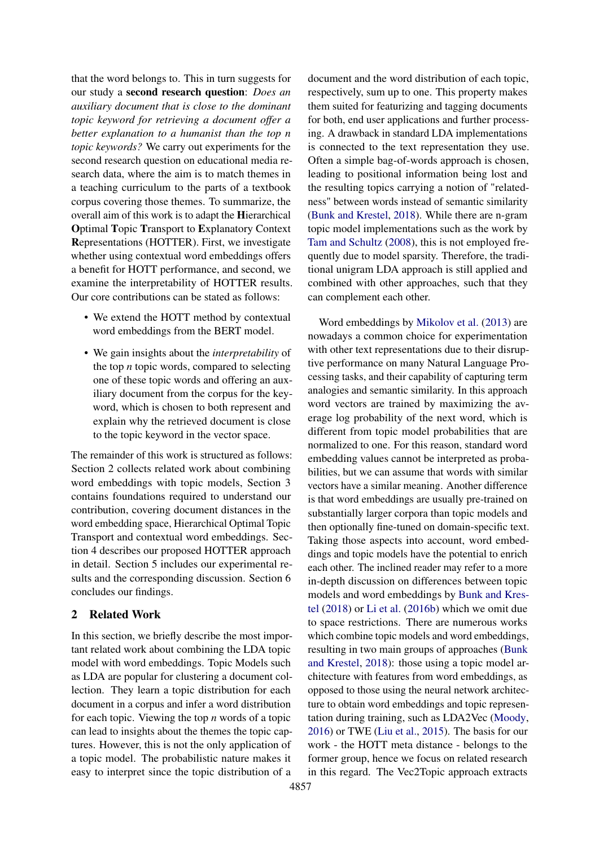that the word belongs to. This in turn suggests for our study a second research question: *Does an auxiliary document that is close to the dominant topic keyword for retrieving a document offer a better explanation to a humanist than the top n topic keywords?* We carry out experiments for the second research question on educational media research data, where the aim is to match themes in a teaching curriculum to the parts of a textbook corpus covering those themes. To summarize, the overall aim of this work is to adapt the Hierarchical Optimal Topic Transport to Explanatory Context Representations (HOTTER). First, we investigate whether using contextual word embeddings offers a benefit for HOTT performance, and second, we examine the interpretability of HOTTER results. Our core contributions can be stated as follows:

- We extend the HOTT method by contextual word embeddings from the BERT model.
- We gain insights about the *interpretability* of the top *n* topic words, compared to selecting one of these topic words and offering an auxiliary document from the corpus for the keyword, which is chosen to both represent and explain why the retrieved document is close to the topic keyword in the vector space.

The remainder of this work is structured as follows: Section 2 collects related work about combining word embeddings with topic models, Section 3 contains foundations required to understand our contribution, covering document distances in the word embedding space, Hierarchical Optimal Topic Transport and contextual word embeddings. Section 4 describes our proposed HOTTER approach in detail. Section 5 includes our experimental results and the corresponding discussion. Section 6 concludes our findings.

### 2 Related Work

In this section, we briefly describe the most important related work about combining the LDA topic model with word embeddings. Topic Models such as LDA are popular for clustering a document collection. They learn a topic distribution for each document in a corpus and infer a word distribution for each topic. Viewing the top *n* words of a topic can lead to insights about the themes the topic captures. However, this is not the only application of a topic model. The probabilistic nature makes it easy to interpret since the topic distribution of a

document and the word distribution of each topic, respectively, sum up to one. This property makes them suited for featurizing and tagging documents for both, end user applications and further processing. A drawback in standard LDA implementations is connected to the text representation they use. Often a simple bag-of-words approach is chosen, leading to positional information being lost and the resulting topics carrying a notion of "relatedness" between words instead of semantic similarity [\(Bunk and Krestel,](#page-9-3) [2018\)](#page-9-3). While there are n-gram topic model implementations such as the work by [Tam and Schultz](#page-9-4) [\(2008\)](#page-9-4), this is not employed frequently due to model sparsity. Therefore, the traditional unigram LDA approach is still applied and combined with other approaches, such that they can complement each other.

Word embeddings by [Mikolov et al.](#page-9-5) [\(2013\)](#page-9-5) are nowadays a common choice for experimentation with other text representations due to their disruptive performance on many Natural Language Processing tasks, and their capability of capturing term analogies and semantic similarity. In this approach word vectors are trained by maximizing the average log probability of the next word, which is different from topic model probabilities that are normalized to one. For this reason, standard word embedding values cannot be interpreted as probabilities, but we can assume that words with similar vectors have a similar meaning. Another difference is that word embeddings are usually pre-trained on substantially larger corpora than topic models and then optionally fine-tuned on domain-specific text. Taking those aspects into account, word embeddings and topic models have the potential to enrich each other. The inclined reader may refer to a more in-depth discussion on differences between topic models and word embeddings by [Bunk and Kres](#page-9-3)[tel](#page-9-3) [\(2018\)](#page-9-3) or [Li et al.](#page-9-6) [\(2016b\)](#page-9-6) which we omit due to space restrictions. There are numerous works which combine topic models and word embeddings, resulting in two main groups of approaches [\(Bunk](#page-9-3) [and Krestel,](#page-9-3) [2018\)](#page-9-3): those using a topic model architecture with features from word embeddings, as opposed to those using the neural network architecture to obtain word embeddings and topic representation during training, such as LDA2Vec [\(Moody,](#page-9-7) [2016\)](#page-9-7) or TWE [\(Liu et al.,](#page-9-8) [2015\)](#page-9-8). The basis for our work - the HOTT meta distance - belongs to the former group, hence we focus on related research in this regard. The Vec2Topic approach extracts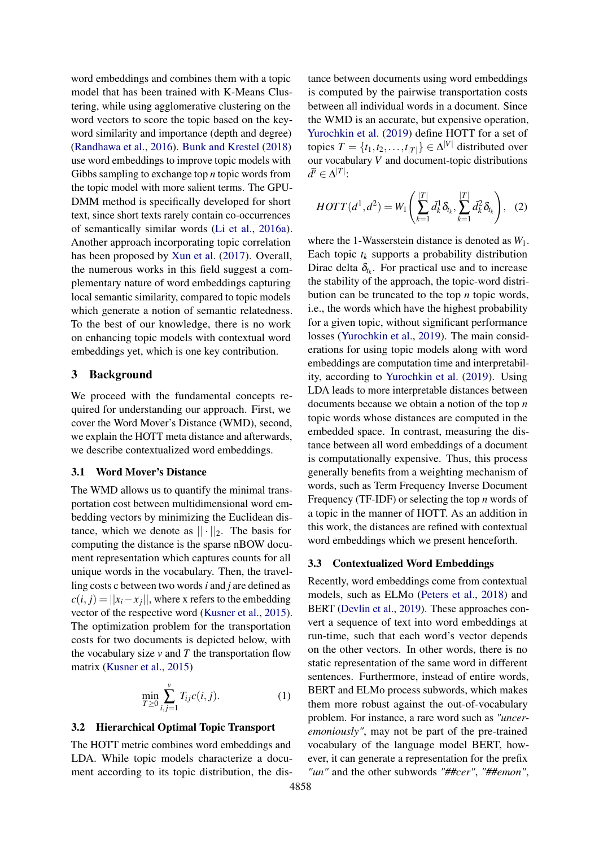word embeddings and combines them with a topic model that has been trained with K-Means Clustering, while using agglomerative clustering on the word vectors to score the topic based on the keyword similarity and importance (depth and degree) [\(Randhawa et al.,](#page-9-9) [2016\)](#page-9-9). [Bunk and Krestel](#page-9-3) [\(2018\)](#page-9-3) use word embeddings to improve topic models with Gibbs sampling to exchange top *n* topic words from the topic model with more salient terms. The GPU-DMM method is specifically developed for short text, since short texts rarely contain co-occurrences of semantically similar words [\(Li et al.,](#page-9-10) [2016a\)](#page-9-10). Another approach incorporating topic correlation has been proposed by [Xun et al.](#page-10-1) [\(2017\)](#page-10-1). Overall, the numerous works in this field suggest a complementary nature of word embeddings capturing local semantic similarity, compared to topic models which generate a notion of semantic relatedness. To the best of our knowledge, there is no work on enhancing topic models with contextual word embeddings yet, which is one key contribution.

### 3 Background

We proceed with the fundamental concepts required for understanding our approach. First, we cover the Word Mover's Distance (WMD), second, we explain the HOTT meta distance and afterwards, we describe contextualized word embeddings.

#### 3.1 Word Mover's Distance

The WMD allows us to quantify the minimal transportation cost between multidimensional word embedding vectors by minimizing the Euclidean distance, which we denote as  $|| \cdot ||_2$ . The basis for computing the distance is the sparse nBOW document representation which captures counts for all unique words in the vocabulary. Then, the travelling costs c between two words *i* and *j* are defined as  $c(i, j) = ||x_i - x_j||$ , where x refers to the embedding vector of the respective word [\(Kusner et al.,](#page-9-11) [2015\)](#page-9-11). The optimization problem for the transportation costs for two documents is depicted below, with the vocabulary size  $v$  and  $T$  the transportation flow matrix [\(Kusner et al.,](#page-9-11) [2015\)](#page-9-11)

$$
\min_{T \ge 0} \sum_{i,j=1}^{\nu} T_{ij} c(i,j).
$$
 (1)

#### 3.2 Hierarchical Optimal Topic Transport

The HOTT metric combines word embeddings and LDA. While topic models characterize a document according to its topic distribution, the distance between documents using word embeddings is computed by the pairwise transportation costs between all individual words in a document. Since the WMD is an accurate, but expensive operation, [Yurochkin et al.](#page-10-0) [\(2019\)](#page-10-0) define HOTT for a set of topics  $T = \{t_1, t_2, \dots, t_{|T|}\} \in \Delta^{|V|}$  distributed over our vocabulary *V* and document-topic distributions  $\bar{d}^i \in \Delta^{|T|}$ :

$$
HOTT(d^1, d^2) = W_1\left(\sum_{k=1}^{|T|} \bar{d}_k^1 \delta_{t_k}, \sum_{k=1}^{|T|} \bar{d}_k^2 \delta_{t_k}\right), \quad (2)
$$

where the 1-Wasserstein distance is denoted as *W*1. Each topic  $t_k$  supports a probability distribution Dirac delta  $\delta_{t_k}$ . For practical use and to increase the stability of the approach, the topic-word distribution can be truncated to the top *n* topic words, i.e., the words which have the highest probability for a given topic, without significant performance losses [\(Yurochkin et al.,](#page-10-0) [2019\)](#page-10-0). The main considerations for using topic models along with word embeddings are computation time and interpretability, according to [Yurochkin et al.](#page-10-0) [\(2019\)](#page-10-0). Using LDA leads to more interpretable distances between documents because we obtain a notion of the top *n* topic words whose distances are computed in the embedded space. In contrast, measuring the distance between all word embeddings of a document is computationally expensive. Thus, this process generally benefits from a weighting mechanism of words, such as Term Frequency Inverse Document Frequency (TF-IDF) or selecting the top *n* words of a topic in the manner of HOTT. As an addition in this work, the distances are refined with contextual word embeddings which we present henceforth.

#### 3.3 Contextualized Word Embeddings

Recently, word embeddings come from contextual models, such as ELMo [\(Peters et al.,](#page-9-12) [2018\)](#page-9-12) and BERT [\(Devlin et al.,](#page-9-1) [2019\)](#page-9-1). These approaches convert a sequence of text into word embeddings at run-time, such that each word's vector depends on the other vectors. In other words, there is no static representation of the same word in different sentences. Furthermore, instead of entire words, BERT and ELMo process subwords, which makes them more robust against the out-of-vocabulary problem. For instance, a rare word such as *"unceremoniously"*, may not be part of the pre-trained vocabulary of the language model BERT, however, it can generate a representation for the prefix *"un"* and the other subwords *"##cer"*, *"##emon"*,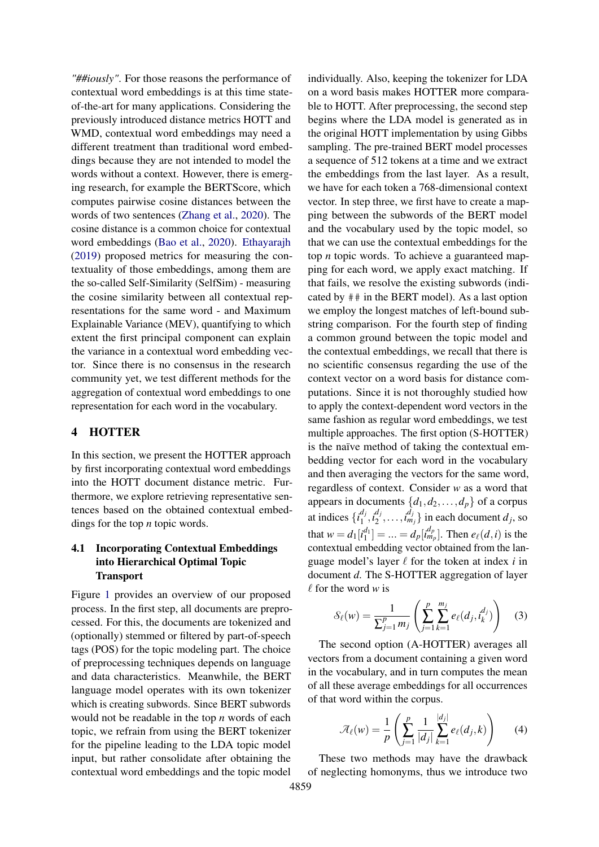*"##iously"*. For those reasons the performance of contextual word embeddings is at this time stateof-the-art for many applications. Considering the previously introduced distance metrics HOTT and WMD, contextual word embeddings may need a different treatment than traditional word embeddings because they are not intended to model the words without a context. However, there is emerging research, for example the BERTScore, which computes pairwise cosine distances between the words of two sentences [\(Zhang et al.,](#page-10-2) [2020\)](#page-10-2). The cosine distance is a common choice for contextual word embeddings [\(Bao et al.,](#page-9-13) [2020\)](#page-9-13). [Ethayarajh](#page-9-14) [\(2019\)](#page-9-14) proposed metrics for measuring the contextuality of those embeddings, among them are the so-called Self-Similarity (SelfSim) - measuring the cosine similarity between all contextual representations for the same word - and Maximum Explainable Variance (MEV), quantifying to which extent the first principal component can explain the variance in a contextual word embedding vector. Since there is no consensus in the research community yet, we test different methods for the aggregation of contextual word embeddings to one representation for each word in the vocabulary.

### 4 HOTTER

In this section, we present the HOTTER approach by first incorporating contextual word embeddings into the HOTT document distance metric. Furthermore, we explore retrieving representative sentences based on the obtained contextual embeddings for the top *n* topic words.

# 4.1 Incorporating Contextual Embeddings into Hierarchical Optimal Topic Transport

Figure [1](#page-4-0) provides an overview of our proposed process. In the first step, all documents are preprocessed. For this, the documents are tokenized and (optionally) stemmed or filtered by part-of-speech tags (POS) for the topic modeling part. The choice of preprocessing techniques depends on language and data characteristics. Meanwhile, the BERT language model operates with its own tokenizer which is creating subwords. Since BERT subwords would not be readable in the top *n* words of each topic, we refrain from using the BERT tokenizer for the pipeline leading to the LDA topic model input, but rather consolidate after obtaining the contextual word embeddings and the topic model

individually. Also, keeping the tokenizer for LDA on a word basis makes HOTTER more comparable to HOTT. After preprocessing, the second step begins where the LDA model is generated as in the original HOTT implementation by using Gibbs sampling. The pre-trained BERT model processes a sequence of 512 tokens at a time and we extract the embeddings from the last layer. As a result, we have for each token a 768-dimensional context vector. In step three, we first have to create a mapping between the subwords of the BERT model and the vocabulary used by the topic model, so that we can use the contextual embeddings for the top *n* topic words. To achieve a guaranteed mapping for each word, we apply exact matching. If that fails, we resolve the existing subwords (indicated by ## in the BERT model). As a last option we employ the longest matches of left-bound substring comparison. For the fourth step of finding a common ground between the topic model and the contextual embeddings, we recall that there is no scientific consensus regarding the use of the context vector on a word basis for distance computations. Since it is not thoroughly studied how to apply the context-dependent word vectors in the same fashion as regular word embeddings, we test multiple approaches. The first option (S-HOTTER) is the naïve method of taking the contextual embedding vector for each word in the vocabulary and then averaging the vectors for the same word, regardless of context. Consider *w* as a word that appears in documents  $\{d_1, d_2, \ldots, d_p\}$  of a corpus at indices  $\{i_1^{d_j}\}$  $a_j^{d_j}, i_2^{d_j}$  $\{a_j, \ldots, a_{m_j}^{d_j}\}$  in each document  $d_j$ , so that  $w = d_1[i_1^{d_1}] = ... = d_p[i_{m_p}^{d_p}]$ . Then  $e_{\ell}(d, i)$  is the contextual embedding vector obtained from the language model's layer  $\ell$  for the token at index  $i$  in document *d*. The S-HOTTER aggregation of layer  $\ell$  for the word *w* is

<span id="page-3-1"></span>
$$
\mathcal{S}_{\ell}(w) = \frac{1}{\sum_{j=1}^{p} m_j} \left( \sum_{j=1}^{p} \sum_{k=1}^{m_j} e_{\ell}(d_j, t_k^{d_j}) \right) \tag{3}
$$

The second option (A-HOTTER) averages all vectors from a document containing a given word in the vocabulary, and in turn computes the mean of all these average embeddings for all occurrences of that word within the corpus.

<span id="page-3-0"></span>
$$
\mathcal{A}_{\ell}(w) = \frac{1}{p} \left( \sum_{j=1}^{p} \frac{1}{|d_j|} \sum_{k=1}^{|d_j|} e_{\ell}(d_j, k) \right) \tag{4}
$$

These two methods may have the drawback of neglecting homonyms, thus we introduce two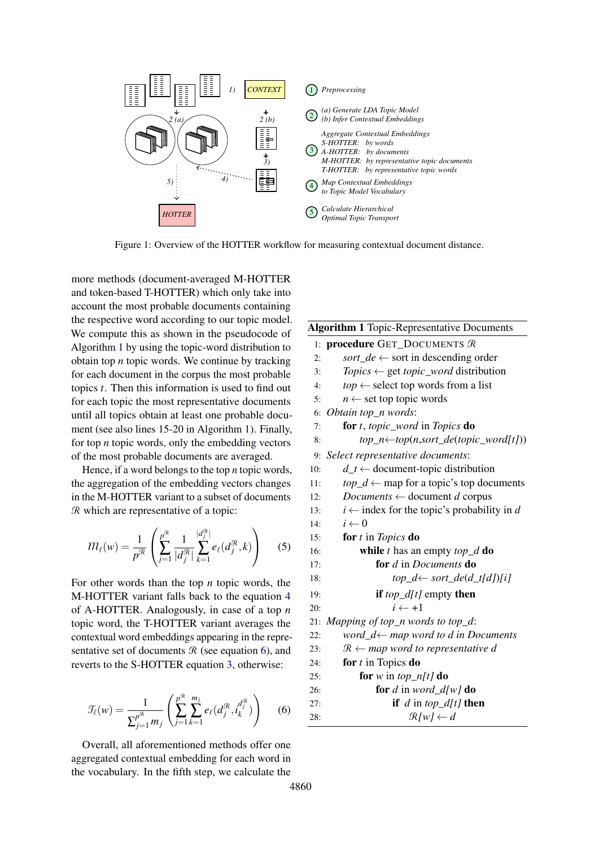<span id="page-4-0"></span>

Figure 1: Overview of the HOTTER workflow for measuring contextual document distance.

more methods (document-averaged M-HOTTER and token-based T-HOTTER) which only take into account the most probable documents containing the respective word according to our topic model. We compute this as shown in the pseudocode of Algorithm [1](#page-4-1) by using the topic-word distribution to obtain top *n* topic words. We continue by tracking for each document in the corpus the most probable topics *t*. Then this information is used to find out for each topic the most representative documents until all topics obtain at least one probable document (see also lines 15-20 in Algorithm [1\)](#page-4-1). Finally, for top *n* topic words, only the embedding vectors of the most probable documents are averaged.

Hence, if a word belongs to the top *n* topic words, the aggregation of the embedding vectors changes in the M-HOTTER variant to a subset of documents R which are representative of a topic:

$$
m_{\ell}(w) = \frac{1}{p^{\mathcal{R}}} \left( \sum_{j=1}^{p^{\mathcal{R}}} \frac{1}{|d_j^{\mathcal{R}}|} \sum_{k=1}^{|d_j^{\mathcal{R}}|} e_{\ell}(d_j^{\mathcal{R}}, k) \right) \tag{5}
$$

For other words than the top *n* topic words, the M-HOTTER variant falls back to the equation [4](#page-3-0) of A-HOTTER. Analogously, in case of a top *n* topic word, the T-HOTTER variant averages the contextual word embeddings appearing in the representative set of documents  $R$  (see equation [6\)](#page-4-2), and reverts to the S-HOTTER equation [3,](#page-3-1) otherwise:

<span id="page-4-2"></span>
$$
\mathcal{T}_{\ell}(w) = \frac{1}{\sum_{j=1}^{p^{\mathcal{R}}} m_j} \left( \sum_{j=1}^{p^{\mathcal{R}}} \sum_{k=1}^{m_j} e_{\ell}(d_j^{\mathcal{R}}, i_k^{d_j^{\mathcal{R}}}) \right) \tag{6}
$$

Overall, all aforementioned methods offer one aggregated contextual embedding for each word in the vocabulary. In the fifth step, we calculate the

# <span id="page-4-1"></span>Algorithm 1 Topic-Representative Documents 1: procedure GET\_DOCUMENTS R

| 2:  | <i>sort_de</i> $\leftarrow$ sort in descending order     |
|-----|----------------------------------------------------------|
| 3:  | $Topics \leftarrow get \text{ topic\_word distribution}$ |
| 4:  | $top \leftarrow$ select top words from a list            |
| 5:  | $n \leftarrow$ set top topic words                       |
|     | 6: Obtain top_n words:                                   |
| 7:  | for t, topic_word in Topics do                           |
| 8:  | $top\_n \leftarrow top(n, sort\_de(topic\_word[t]))$     |
|     | 9: Select representative documents:                      |
| 10: | $d_t \leftarrow$ document-topic distribution             |
| 11: | $top_d \leftarrow map$ for a topic's top documents       |
|     |                                                          |

- 12: *Documents* ← document *d* corpus
- 13:  $i \leftarrow \text{index for the topic's probability in } d$
- 14:  $i \leftarrow 0$
- 15: for *t* in *Topics* do

16: **while** 
$$
t
$$
 has an empty  $top_d$  **do**

17: for *d* in *Documents* do

18: 
$$
top_d \leftarrow sort_d e(d_t[d])[i]
$$

19: if 
$$
top_d[t]
$$
 empty then

$$
20: \qquad \qquad i \leftarrow +1
$$

21: *Mapping of top\_n words to top\_d*:

22: word\_d
$$
\leftarrow
$$
 map word to d in Documents

23: 
$$
\mathcal{R} \leftarrow map word to representative d
$$

| 24: | for $t$ in Topics do       |
|-----|----------------------------|
| 25: | for $w$ in $top\_n[t]$ do  |
| 26: | for $d$ in $word\_d[w]$ do |
| 27: | if $d$ in $top\_d[t]$ then |

28: 
$$
\mathbb{R}[w] \leftarrow d
$$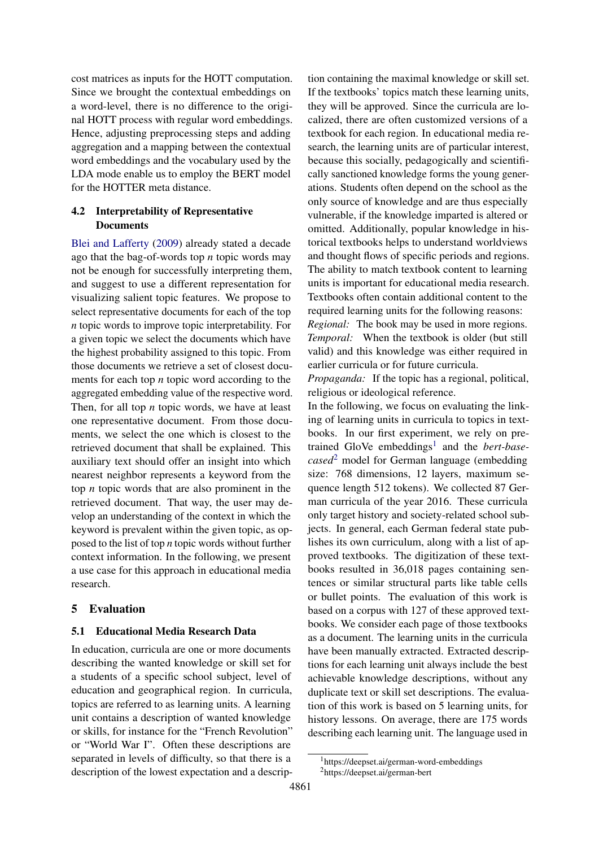cost matrices as inputs for the HOTT computation. Since we brought the contextual embeddings on a word-level, there is no difference to the original HOTT process with regular word embeddings. Hence, adjusting preprocessing steps and adding aggregation and a mapping between the contextual word embeddings and the vocabulary used by the LDA mode enable us to employ the BERT model for the HOTTER meta distance.

### 4.2 Interpretability of Representative **Documents**

[Blei and Lafferty](#page-9-15) [\(2009\)](#page-9-15) already stated a decade ago that the bag-of-words top *n* topic words may not be enough for successfully interpreting them, and suggest to use a different representation for visualizing salient topic features. We propose to select representative documents for each of the top *n* topic words to improve topic interpretability. For a given topic we select the documents which have the highest probability assigned to this topic. From those documents we retrieve a set of closest documents for each top *n* topic word according to the aggregated embedding value of the respective word. Then, for all top *n* topic words, we have at least one representative document. From those documents, we select the one which is closest to the retrieved document that shall be explained. This auxiliary text should offer an insight into which nearest neighbor represents a keyword from the top *n* topic words that are also prominent in the retrieved document. That way, the user may develop an understanding of the context in which the keyword is prevalent within the given topic, as opposed to the list of top *n* topic words without further context information. In the following, we present a use case for this approach in educational media research.

## 5 Evaluation

## 5.1 Educational Media Research Data

In education, curricula are one or more documents describing the wanted knowledge or skill set for a students of a specific school subject, level of education and geographical region. In curricula, topics are referred to as learning units. A learning unit contains a description of wanted knowledge or skills, for instance for the "French Revolution" or "World War I". Often these descriptions are separated in levels of difficulty, so that there is a description of the lowest expectation and a description containing the maximal knowledge or skill set. If the textbooks' topics match these learning units, they will be approved. Since the curricula are localized, there are often customized versions of a textbook for each region. In educational media research, the learning units are of particular interest, because this socially, pedagogically and scientifically sanctioned knowledge forms the young generations. Students often depend on the school as the only source of knowledge and are thus especially vulnerable, if the knowledge imparted is altered or omitted. Additionally, popular knowledge in historical textbooks helps to understand worldviews and thought flows of specific periods and regions. The ability to match textbook content to learning units is important for educational media research. Textbooks often contain additional content to the required learning units for the following reasons: *Regional:* The book may be used in more regions. *Temporal:* When the textbook is older (but still valid) and this knowledge was either required in earlier curricula or for future curricula.

*Propaganda:* If the topic has a regional, political, religious or ideological reference.

In the following, we focus on evaluating the linking of learning units in curricula to topics in textbooks. In our first experiment, we rely on pre-trained GloVe embeddings<sup>[1](#page-5-0)</sup> and the *bert-basecased*[2](#page-5-1) model for German language (embedding size: 768 dimensions, 12 layers, maximum sequence length 512 tokens). We collected 87 German curricula of the year 2016. These curricula only target history and society-related school subjects. In general, each German federal state publishes its own curriculum, along with a list of approved textbooks. The digitization of these textbooks resulted in 36,018 pages containing sentences or similar structural parts like table cells or bullet points. The evaluation of this work is based on a corpus with 127 of these approved textbooks. We consider each page of those textbooks as a document. The learning units in the curricula have been manually extracted. Extracted descriptions for each learning unit always include the best achievable knowledge descriptions, without any duplicate text or skill set descriptions. The evaluation of this work is based on 5 learning units, for history lessons. On average, there are 175 words describing each learning unit. The language used in

<span id="page-5-0"></span><sup>1</sup>https://deepset.ai/german-word-embeddings

<span id="page-5-1"></span><sup>2</sup>https://deepset.ai/german-bert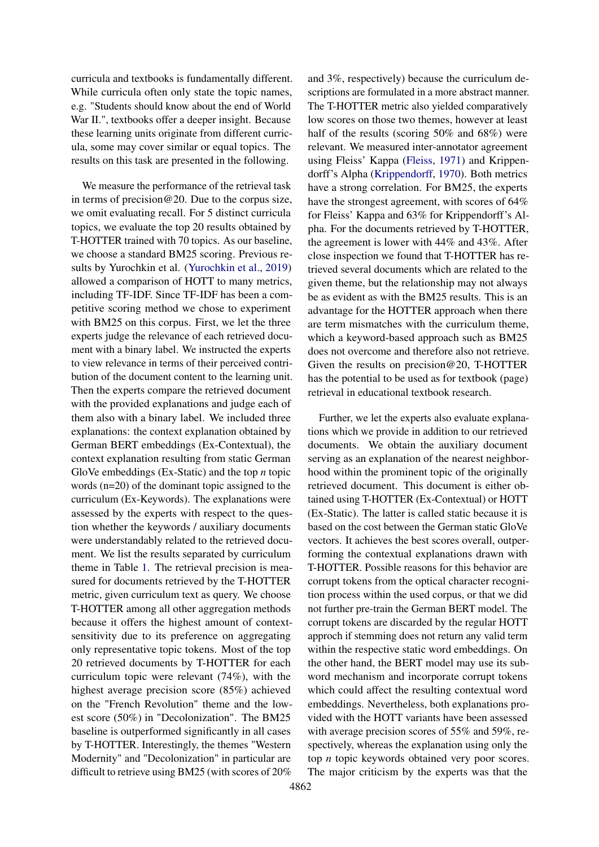curricula and textbooks is fundamentally different. While curricula often only state the topic names, e.g. "Students should know about the end of World War II.", textbooks offer a deeper insight. Because these learning units originate from different curricula, some may cover similar or equal topics. The results on this task are presented in the following.

We measure the performance of the retrieval task in terms of precision  $@20$ . Due to the corpus size, we omit evaluating recall. For 5 distinct curricula topics, we evaluate the top 20 results obtained by T-HOTTER trained with 70 topics. As our baseline, we choose a standard BM25 scoring. Previous results by Yurochkin et al. [\(Yurochkin et al.,](#page-10-0) [2019\)](#page-10-0) allowed a comparison of HOTT to many metrics, including TF-IDF. Since TF-IDF has been a competitive scoring method we chose to experiment with BM25 on this corpus. First, we let the three experts judge the relevance of each retrieved document with a binary label. We instructed the experts to view relevance in terms of their perceived contribution of the document content to the learning unit. Then the experts compare the retrieved document with the provided explanations and judge each of them also with a binary label. We included three explanations: the context explanation obtained by German BERT embeddings (Ex-Contextual), the context explanation resulting from static German GloVe embeddings (Ex-Static) and the top *n* topic words (n=20) of the dominant topic assigned to the curriculum (Ex-Keywords). The explanations were assessed by the experts with respect to the question whether the keywords / auxiliary documents were understandably related to the retrieved document. We list the results separated by curriculum theme in Table [1.](#page-7-0) The retrieval precision is measured for documents retrieved by the T-HOTTER metric, given curriculum text as query. We choose T-HOTTER among all other aggregation methods because it offers the highest amount of contextsensitivity due to its preference on aggregating only representative topic tokens. Most of the top 20 retrieved documents by T-HOTTER for each curriculum topic were relevant (74%), with the highest average precision score (85%) achieved on the "French Revolution" theme and the lowest score (50%) in "Decolonization". The BM25 baseline is outperformed significantly in all cases by T-HOTTER. Interestingly, the themes "Western Modernity" and "Decolonization" in particular are difficult to retrieve using BM25 (with scores of 20%

and 3%, respectively) because the curriculum descriptions are formulated in a more abstract manner. The T-HOTTER metric also yielded comparatively low scores on those two themes, however at least half of the results (scoring 50% and 68%) were relevant. We measured inter-annotator agreement using Fleiss' Kappa [\(Fleiss,](#page-9-16) [1971\)](#page-9-16) and Krippendorff's Alpha [\(Krippendorff,](#page-9-17) [1970\)](#page-9-17). Both metrics have a strong correlation. For BM25, the experts have the strongest agreement, with scores of 64% for Fleiss' Kappa and 63% for Krippendorff's Alpha. For the documents retrieved by T-HOTTER, the agreement is lower with 44% and 43%. After close inspection we found that T-HOTTER has retrieved several documents which are related to the given theme, but the relationship may not always be as evident as with the BM25 results. This is an advantage for the HOTTER approach when there are term mismatches with the curriculum theme, which a keyword-based approach such as BM25 does not overcome and therefore also not retrieve. Given the results on precision@20, T-HOTTER has the potential to be used as for textbook (page) retrieval in educational textbook research.

Further, we let the experts also evaluate explanations which we provide in addition to our retrieved documents. We obtain the auxiliary document serving as an explanation of the nearest neighborhood within the prominent topic of the originally retrieved document. This document is either obtained using T-HOTTER (Ex-Contextual) or HOTT (Ex-Static). The latter is called static because it is based on the cost between the German static GloVe vectors. It achieves the best scores overall, outperforming the contextual explanations drawn with T-HOTTER. Possible reasons for this behavior are corrupt tokens from the optical character recognition process within the used corpus, or that we did not further pre-train the German BERT model. The corrupt tokens are discarded by the regular HOTT approch if stemming does not return any valid term within the respective static word embeddings. On the other hand, the BERT model may use its subword mechanism and incorporate corrupt tokens which could affect the resulting contextual word embeddings. Nevertheless, both explanations provided with the HOTT variants have been assessed with average precision scores of 55% and 59%, respectively, whereas the explanation using only the top *n* topic keywords obtained very poor scores. The major criticism by the experts was that the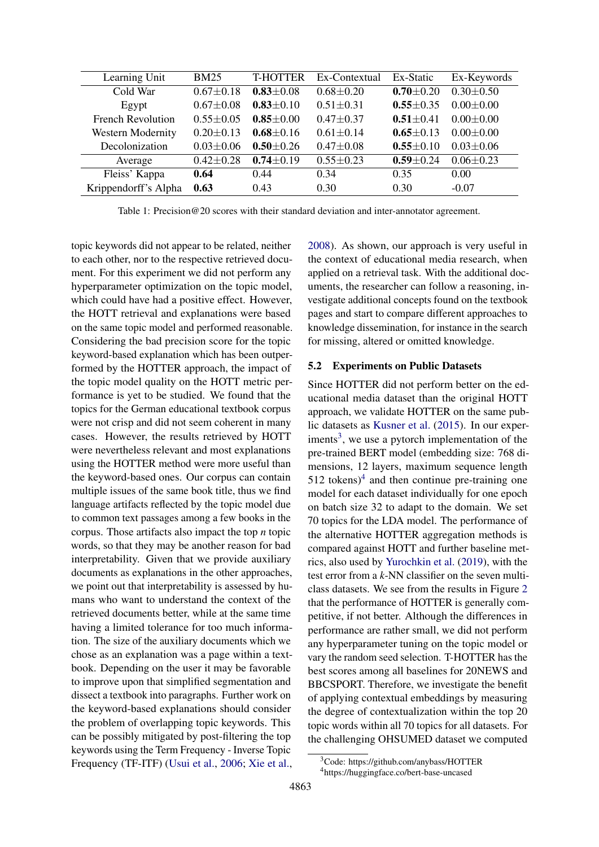<span id="page-7-0"></span>

| Learning Unit            | <b>BM25</b>     | <b>T-HOTTER</b> | Ex-Contextual   | Ex-Static       | Ex-Keywords     |
|--------------------------|-----------------|-----------------|-----------------|-----------------|-----------------|
| Cold War                 | $0.67 \pm 0.18$ | $0.83 \pm 0.08$ | $0.68 \pm 0.20$ | $0.70 \pm 0.20$ | $0.30 \pm 0.50$ |
| Egypt                    | $0.67 \pm 0.08$ | $0.83 \pm 0.10$ | $0.51 \pm 0.31$ | $0.55 \pm 0.35$ | $0.00 \pm 0.00$ |
| <b>French Revolution</b> | $0.55 \pm 0.05$ | $0.85 \pm 0.00$ | $0.47 \pm 0.37$ | $0.51 \pm 0.41$ | $0.00 \pm 0.00$ |
| Western Modernity        | $0.20 \pm 0.13$ | $0.68 \pm 0.16$ | $0.61 \pm 0.14$ | $0.65 \pm 0.13$ | $0.00 \pm 0.00$ |
| Decolonization           | $0.03 \pm 0.06$ | $0.50 \pm 0.26$ | $0.47 \pm 0.08$ | $0.55 \pm 0.10$ | $0.03 \pm 0.06$ |
| Average                  | $0.42 \pm 0.28$ | $0.74 \pm 0.19$ | $0.55 \pm 0.23$ | $0.59 \pm 0.24$ | $0.06 \pm 0.23$ |
| Fleiss' Kappa            | 0.64            | 0.44            | 0.34            | 0.35            | 0.00            |
| Krippendorff's Alpha     | 0.63            | 0.43            | 0.30            | 0.30            | $-0.07$         |

Table 1: Precision@20 scores with their standard deviation and inter-annotator agreement.

topic keywords did not appear to be related, neither to each other, nor to the respective retrieved document. For this experiment we did not perform any hyperparameter optimization on the topic model, which could have had a positive effect. However, the HOTT retrieval and explanations were based on the same topic model and performed reasonable. Considering the bad precision score for the topic keyword-based explanation which has been outperformed by the HOTTER approach, the impact of the topic model quality on the HOTT metric performance is yet to be studied. We found that the topics for the German educational textbook corpus were not crisp and did not seem coherent in many cases. However, the results retrieved by HOTT were nevertheless relevant and most explanations using the HOTTER method were more useful than the keyword-based ones. Our corpus can contain multiple issues of the same book title, thus we find language artifacts reflected by the topic model due to common text passages among a few books in the corpus. Those artifacts also impact the top *n* topic words, so that they may be another reason for bad interpretability. Given that we provide auxiliary documents as explanations in the other approaches, we point out that interpretability is assessed by humans who want to understand the context of the retrieved documents better, while at the same time having a limited tolerance for too much information. The size of the auxiliary documents which we chose as an explanation was a page within a textbook. Depending on the user it may be favorable to improve upon that simplified segmentation and dissect a textbook into paragraphs. Further work on the keyword-based explanations should consider the problem of overlapping topic keywords. This can be possibly mitigated by post-filtering the top keywords using the Term Frequency - Inverse Topic Frequency (TF-ITF) [\(Usui et al.,](#page-10-3) [2006;](#page-10-3) [Xie et al.,](#page-10-4)

[2008\)](#page-10-4). As shown, our approach is very useful in the context of educational media research, when applied on a retrieval task. With the additional documents, the researcher can follow a reasoning, investigate additional concepts found on the textbook pages and start to compare different approaches to knowledge dissemination, for instance in the search for missing, altered or omitted knowledge.

#### 5.2 Experiments on Public Datasets

Since HOTTER did not perform better on the educational media dataset than the original HOTT approach, we validate HOTTER on the same public datasets as [Kusner et al.](#page-9-11) [\(2015\)](#page-9-11). In our exper-iments<sup>[3](#page-7-1)</sup>, we use a pytorch implementation of the pre-trained BERT model (embedding size: 768 dimensions, 12 layers, maximum sequence length  $512$  tokens)<sup>[4](#page-7-2)</sup> and then continue pre-training one model for each dataset individually for one epoch on batch size 32 to adapt to the domain. We set 70 topics for the LDA model. The performance of the alternative HOTTER aggregation methods is compared against HOTT and further baseline metrics, also used by [Yurochkin et al.](#page-10-0) [\(2019\)](#page-10-0), with the test error from a *k*-NN classifier on the seven multiclass datasets. We see from the results in Figure [2](#page-8-0) that the performance of HOTTER is generally competitive, if not better. Although the differences in performance are rather small, we did not perform any hyperparameter tuning on the topic model or vary the random seed selection. T-HOTTER has the best scores among all baselines for 20NEWS and BBCSPORT. Therefore, we investigate the benefit of applying contextual embeddings by measuring the degree of contextualization within the top 20 topic words within all 70 topics for all datasets. For the challenging OHSUMED dataset we computed

<span id="page-7-1"></span><sup>3</sup>Code: https://github.com/anybass/HOTTER

<span id="page-7-2"></span><sup>4</sup>https://huggingface.co/bert-base-uncased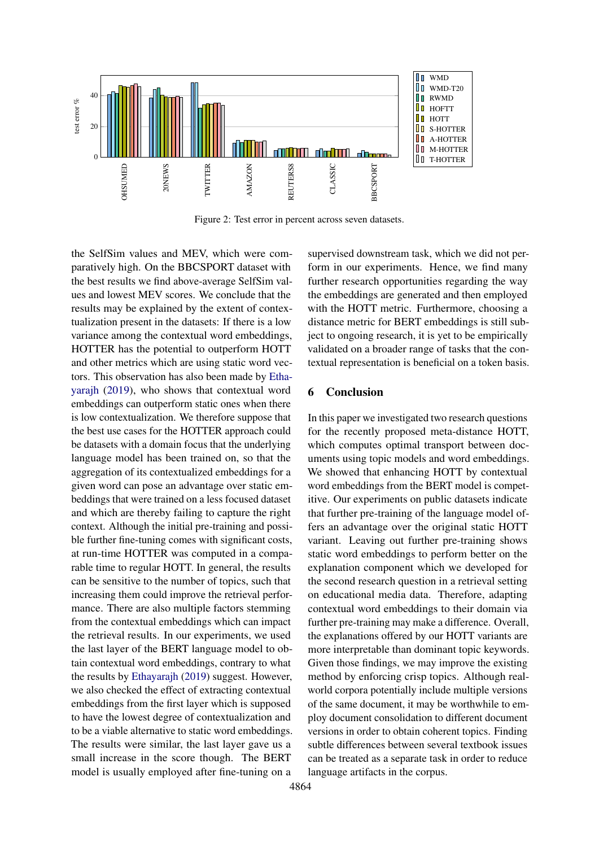<span id="page-8-0"></span>

Figure 2: Test error in percent across seven datasets.

the SelfSim values and MEV, which were comparatively high. On the BBCSPORT dataset with the best results we find above-average SelfSim values and lowest MEV scores. We conclude that the results may be explained by the extent of contextualization present in the datasets: If there is a low variance among the contextual word embeddings, HOTTER has the potential to outperform HOTT and other metrics which are using static word vectors. This observation has also been made by [Etha](#page-9-14)[yarajh](#page-9-14) [\(2019\)](#page-9-14), who shows that contextual word embeddings can outperform static ones when there is low contextualization. We therefore suppose that the best use cases for the HOTTER approach could be datasets with a domain focus that the underlying language model has been trained on, so that the aggregation of its contextualized embeddings for a given word can pose an advantage over static embeddings that were trained on a less focused dataset and which are thereby failing to capture the right context. Although the initial pre-training and possible further fine-tuning comes with significant costs, at run-time HOTTER was computed in a comparable time to regular HOTT. In general, the results can be sensitive to the number of topics, such that increasing them could improve the retrieval performance. There are also multiple factors stemming from the contextual embeddings which can impact the retrieval results. In our experiments, we used the last layer of the BERT language model to obtain contextual word embeddings, contrary to what the results by [Ethayarajh](#page-9-14) [\(2019\)](#page-9-14) suggest. However, we also checked the effect of extracting contextual embeddings from the first layer which is supposed to have the lowest degree of contextualization and to be a viable alternative to static word embeddings. The results were similar, the last layer gave us a small increase in the score though. The BERT model is usually employed after fine-tuning on a

supervised downstream task, which we did not perform in our experiments. Hence, we find many further research opportunities regarding the way the embeddings are generated and then employed with the HOTT metric. Furthermore, choosing a distance metric for BERT embeddings is still subject to ongoing research, it is yet to be empirically validated on a broader range of tasks that the contextual representation is beneficial on a token basis.

### 6 Conclusion

In this paper we investigated two research questions for the recently proposed meta-distance HOTT, which computes optimal transport between documents using topic models and word embeddings. We showed that enhancing HOTT by contextual word embeddings from the BERT model is competitive. Our experiments on public datasets indicate that further pre-training of the language model offers an advantage over the original static HOTT variant. Leaving out further pre-training shows static word embeddings to perform better on the explanation component which we developed for the second research question in a retrieval setting on educational media data. Therefore, adapting contextual word embeddings to their domain via further pre-training may make a difference. Overall, the explanations offered by our HOTT variants are more interpretable than dominant topic keywords. Given those findings, we may improve the existing method by enforcing crisp topics. Although realworld corpora potentially include multiple versions of the same document, it may be worthwhile to employ document consolidation to different document versions in order to obtain coherent topics. Finding subtle differences between several textbook issues can be treated as a separate task in order to reduce language artifacts in the corpus.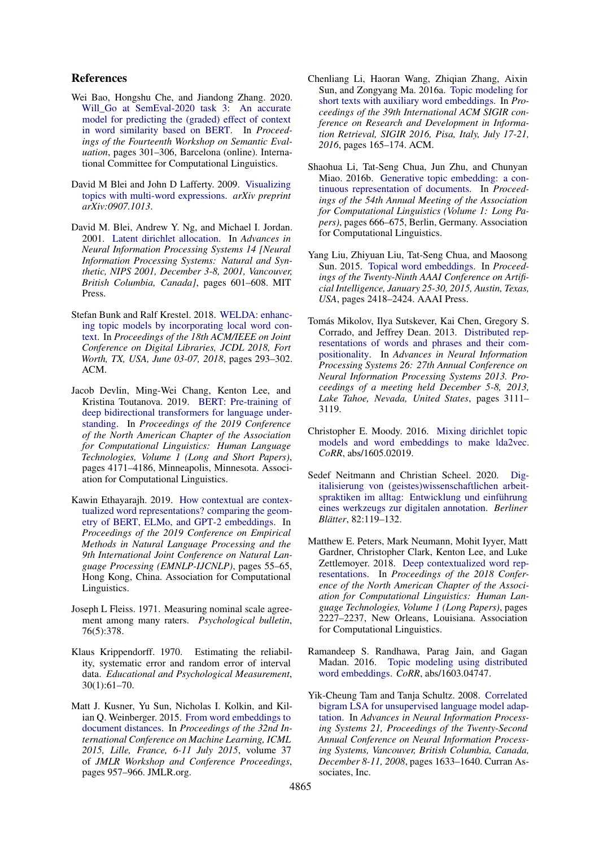### References

- <span id="page-9-13"></span>Wei Bao, Hongshu Che, and Jiandong Zhang. 2020. [Will\\_Go at SemEval-2020 task 3: An accurate](https://aclanthology.org/2020.semeval-1.38) [model for predicting the \(graded\) effect of context](https://aclanthology.org/2020.semeval-1.38) [in word similarity based on BERT.](https://aclanthology.org/2020.semeval-1.38) In *Proceedings of the Fourteenth Workshop on Semantic Evaluation*, pages 301–306, Barcelona (online). International Committee for Computational Linguistics.
- <span id="page-9-15"></span>David M Blei and John D Lafferty. 2009. [Visualizing](https://arxiv.org/abs/0907.1013) [topics with multi-word expressions.](https://arxiv.org/abs/0907.1013) *arXiv preprint arXiv:0907.1013*.
- <span id="page-9-0"></span>David M. Blei, Andrew Y. Ng, and Michael I. Jordan. 2001. [Latent dirichlet allocation.](https://proceedings.neurips.cc/paper/2001/hash/296472c9542ad4d4788d543508116cbc-Abstract.html) In *Advances in Neural Information Processing Systems 14 [Neural Information Processing Systems: Natural and Synthetic, NIPS 2001, December 3-8, 2001, Vancouver, British Columbia, Canada]*, pages 601–608. MIT Press.
- <span id="page-9-3"></span>Stefan Bunk and Ralf Krestel. 2018. [WELDA: enhanc](https://doi.org/10.1145/3197026.3197043)[ing topic models by incorporating local word con](https://doi.org/10.1145/3197026.3197043)[text.](https://doi.org/10.1145/3197026.3197043) In *Proceedings of the 18th ACM/IEEE on Joint Conference on Digital Libraries, JCDL 2018, Fort Worth, TX, USA, June 03-07, 2018*, pages 293–302. ACM.
- <span id="page-9-1"></span>Jacob Devlin, Ming-Wei Chang, Kenton Lee, and Kristina Toutanova. 2019. [BERT: Pre-training of](https://doi.org/10.18653/v1/N19-1423) [deep bidirectional transformers for language under](https://doi.org/10.18653/v1/N19-1423)[standing.](https://doi.org/10.18653/v1/N19-1423) In *Proceedings of the 2019 Conference of the North American Chapter of the Association for Computational Linguistics: Human Language Technologies, Volume 1 (Long and Short Papers)*, pages 4171–4186, Minneapolis, Minnesota. Association for Computational Linguistics.
- <span id="page-9-14"></span>Kawin Ethayarajh. 2019. [How contextual are contex](https://doi.org/10.18653/v1/D19-1006)[tualized word representations? comparing the geom](https://doi.org/10.18653/v1/D19-1006)[etry of BERT, ELMo, and GPT-2 embeddings.](https://doi.org/10.18653/v1/D19-1006) In *Proceedings of the 2019 Conference on Empirical Methods in Natural Language Processing and the 9th International Joint Conference on Natural Language Processing (EMNLP-IJCNLP)*, pages 55–65, Hong Kong, China. Association for Computational Linguistics.
- <span id="page-9-16"></span>Joseph L Fleiss. 1971. Measuring nominal scale agreement among many raters. *Psychological bulletin*, 76(5):378.
- <span id="page-9-17"></span>Klaus Krippendorff. 1970. Estimating the reliability, systematic error and random error of interval data. *Educational and Psychological Measurement*, 30(1):61–70.
- <span id="page-9-11"></span>Matt J. Kusner, Yu Sun, Nicholas I. Kolkin, and Kilian Q. Weinberger. 2015. [From word embeddings to](http://proceedings.mlr.press/v37/kusnerb15.html) [document distances.](http://proceedings.mlr.press/v37/kusnerb15.html) In *Proceedings of the 32nd International Conference on Machine Learning, ICML 2015, Lille, France, 6-11 July 2015*, volume 37 of *JMLR Workshop and Conference Proceedings*, pages 957–966. JMLR.org.
- <span id="page-9-10"></span>Chenliang Li, Haoran Wang, Zhiqian Zhang, Aixin Sun, and Zongyang Ma. 2016a. [Topic modeling for](https://doi.org/10.1145/2911451.2911499) [short texts with auxiliary word embeddings.](https://doi.org/10.1145/2911451.2911499) In *Proceedings of the 39th International ACM SIGIR conference on Research and Development in Information Retrieval, SIGIR 2016, Pisa, Italy, July 17-21, 2016*, pages 165–174. ACM.
- <span id="page-9-6"></span>Shaohua Li, Tat-Seng Chua, Jun Zhu, and Chunyan Miao. 2016b. [Generative topic embedding: a con](https://doi.org/10.18653/v1/P16-1063)[tinuous representation of documents.](https://doi.org/10.18653/v1/P16-1063) In *Proceedings of the 54th Annual Meeting of the Association for Computational Linguistics (Volume 1: Long Papers)*, pages 666–675, Berlin, Germany. Association for Computational Linguistics.
- <span id="page-9-8"></span>Yang Liu, Zhiyuan Liu, Tat-Seng Chua, and Maosong Sun. 2015. [Topical word embeddings.](http://www.aaai.org/ocs/index.php/AAAI/AAAI15/paper/view/9314) In *Proceedings of the Twenty-Ninth AAAI Conference on Artificial Intelligence, January 25-30, 2015, Austin, Texas, USA*, pages 2418–2424. AAAI Press.
- <span id="page-9-5"></span>Tomás Mikolov, Ilya Sutskever, Kai Chen, Gregory S. Corrado, and Jeffrey Dean. 2013. [Distributed rep](https://proceedings.neurips.cc/paper/2013/hash/9aa42b31882ec039965f3c4923ce901b-Abstract.html)[resentations of words and phrases and their com](https://proceedings.neurips.cc/paper/2013/hash/9aa42b31882ec039965f3c4923ce901b-Abstract.html)[positionality.](https://proceedings.neurips.cc/paper/2013/hash/9aa42b31882ec039965f3c4923ce901b-Abstract.html) In *Advances in Neural Information Processing Systems 26: 27th Annual Conference on Neural Information Processing Systems 2013. Proceedings of a meeting held December 5-8, 2013, Lake Tahoe, Nevada, United States*, pages 3111– 3119.
- <span id="page-9-7"></span>Christopher E. Moody. 2016. [Mixing dirichlet topic](http://arxiv.org/abs/1605.02019) [models and word embeddings to make lda2vec.](http://arxiv.org/abs/1605.02019) *CoRR*, abs/1605.02019.
- <span id="page-9-2"></span>Sedef Neitmann and Christian Scheel. 2020. [Dig](https://www.berliner-blaetter.de/index.php/blaetter/article/view/1074)[italisierung von \(geistes\)wissenschaftlichen arbeit](https://www.berliner-blaetter.de/index.php/blaetter/article/view/1074)[spraktiken im alltag: Entwicklung und einführung](https://www.berliner-blaetter.de/index.php/blaetter/article/view/1074) [eines werkzeugs zur digitalen annotation.](https://www.berliner-blaetter.de/index.php/blaetter/article/view/1074) *Berliner Blätter*, 82:119–132.
- <span id="page-9-12"></span>Matthew E. Peters, Mark Neumann, Mohit Iyyer, Matt Gardner, Christopher Clark, Kenton Lee, and Luke Zettlemoyer. 2018. [Deep contextualized word rep](https://doi.org/10.18653/v1/N18-1202)[resentations.](https://doi.org/10.18653/v1/N18-1202) In *Proceedings of the 2018 Conference of the North American Chapter of the Association for Computational Linguistics: Human Language Technologies, Volume 1 (Long Papers)*, pages 2227–2237, New Orleans, Louisiana. Association for Computational Linguistics.
- <span id="page-9-9"></span>Ramandeep S. Randhawa, Parag Jain, and Gagan Madan. 2016. [Topic modeling using distributed](http://arxiv.org/abs/1603.04747) [word embeddings.](http://arxiv.org/abs/1603.04747) *CoRR*, abs/1603.04747.
- <span id="page-9-4"></span>Yik-Cheung Tam and Tanja Schultz. 2008. [Correlated](https://proceedings.neurips.cc/paper/2008/hash/26e359e83860db1d11b6acca57d8ea88-Abstract.html) [bigram LSA for unsupervised language model adap](https://proceedings.neurips.cc/paper/2008/hash/26e359e83860db1d11b6acca57d8ea88-Abstract.html)[tation.](https://proceedings.neurips.cc/paper/2008/hash/26e359e83860db1d11b6acca57d8ea88-Abstract.html) In *Advances in Neural Information Processing Systems 21, Proceedings of the Twenty-Second Annual Conference on Neural Information Processing Systems, Vancouver, British Columbia, Canada, December 8-11, 2008*, pages 1633–1640. Curran Associates, Inc.